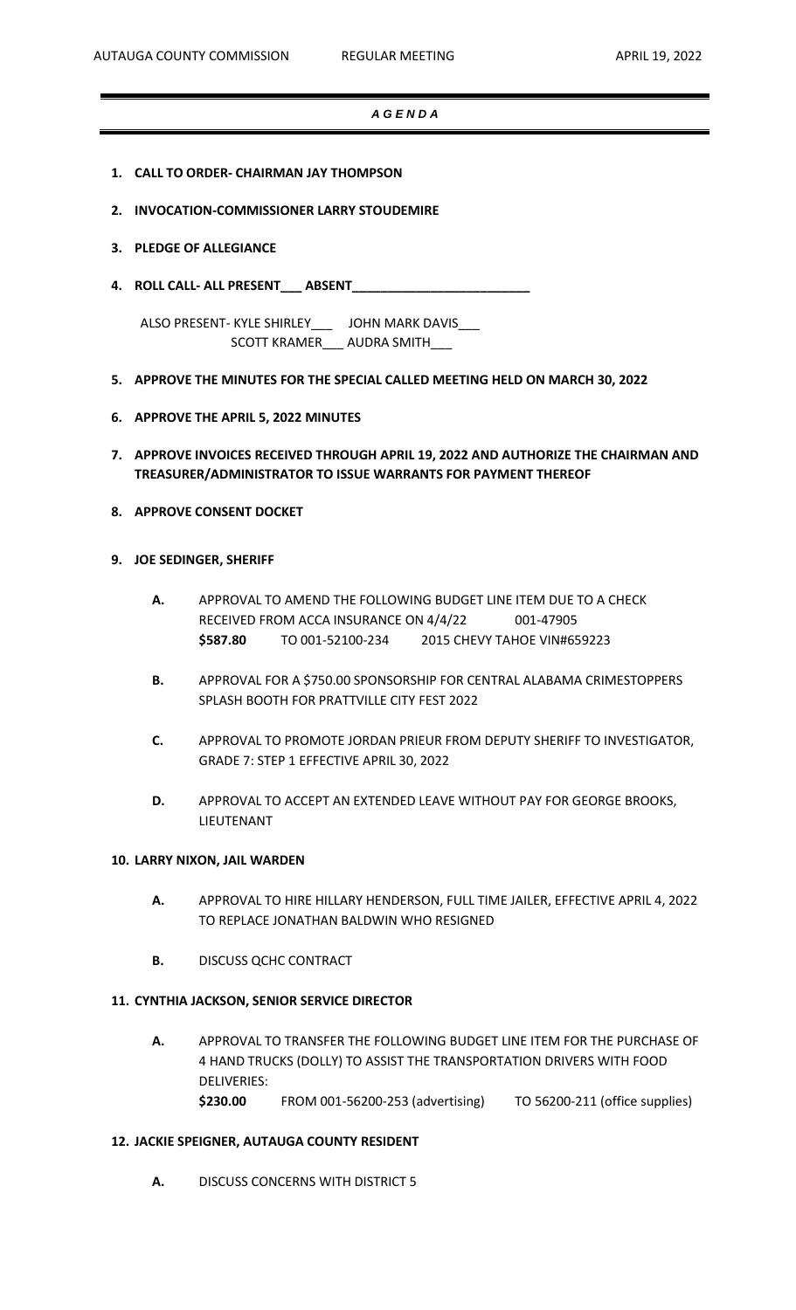#### *A G E N D A*

- **1. CALL TO ORDER- CHAIRMAN JAY THOMPSON**
- **2. INVOCATION-COMMISSIONER LARRY STOUDEMIRE**
- **3. PLEDGE OF ALLEGIANCE**
- **4. ROLL CALL- ALL PRESENT\_\_\_ ABSENT\_\_\_\_\_\_\_\_\_\_\_\_\_\_\_\_\_\_\_\_\_\_\_\_\_**

ALSO PRESENT- KYLE SHIRLEY\_\_\_ JOHN MARK DAVIS\_\_\_ SCOTT KRAMER\_\_\_ AUDRA SMITH\_\_\_

- **5. APPROVE THE MINUTES FOR THE SPECIAL CALLED MEETING HELD ON MARCH 30, 2022**
- **6. APPROVE THE APRIL 5, 2022 MINUTES**
- **7. APPROVE INVOICES RECEIVED THROUGH APRIL 19, 2022 AND AUTHORIZE THE CHAIRMAN AND TREASURER/ADMINISTRATOR TO ISSUE WARRANTS FOR PAYMENT THEREOF**
- **8. APPROVE CONSENT DOCKET**

### **9. JOE SEDINGER, SHERIFF**

- **A.** APPROVAL TO AMEND THE FOLLOWING BUDGET LINE ITEM DUE TO A CHECK RECEIVED FROM ACCA INSURANCE ON 4/4/22 001-47905 **\$587.80** TO 001-52100-234 2015 CHEVY TAHOE VIN#659223
- **B.** APPROVAL FOR A \$750.00 SPONSORSHIP FOR CENTRAL ALABAMA CRIMESTOPPERS SPLASH BOOTH FOR PRATTVILLE CITY FEST 2022
- **C.** APPROVAL TO PROMOTE JORDAN PRIEUR FROM DEPUTY SHERIFF TO INVESTIGATOR, GRADE 7: STEP 1 EFFECTIVE APRIL 30, 2022
- **D.** APPROVAL TO ACCEPT AN EXTENDED LEAVE WITHOUT PAY FOR GEORGE BROOKS, LIEUTENANT

#### **10. LARRY NIXON, JAIL WARDEN**

- **A.** APPROVAL TO HIRE HILLARY HENDERSON, FULL TIME JAILER, EFFECTIVE APRIL 4, 2022 TO REPLACE JONATHAN BALDWIN WHO RESIGNED
- **B.** DISCUSS QCHC CONTRACT

#### **11. CYNTHIA JACKSON, SENIOR SERVICE DIRECTOR**

**A.** APPROVAL TO TRANSFER THE FOLLOWING BUDGET LINE ITEM FOR THE PURCHASE OF 4 HAND TRUCKS (DOLLY) TO ASSIST THE TRANSPORTATION DRIVERS WITH FOOD DELIVERIES: **\$230.00** FROM 001-56200-253 (advertising) TO 56200-211 (office supplies)

### **12. JACKIE SPEIGNER, AUTAUGA COUNTY RESIDENT**

**A.** DISCUSS CONCERNS WITH DISTRICT 5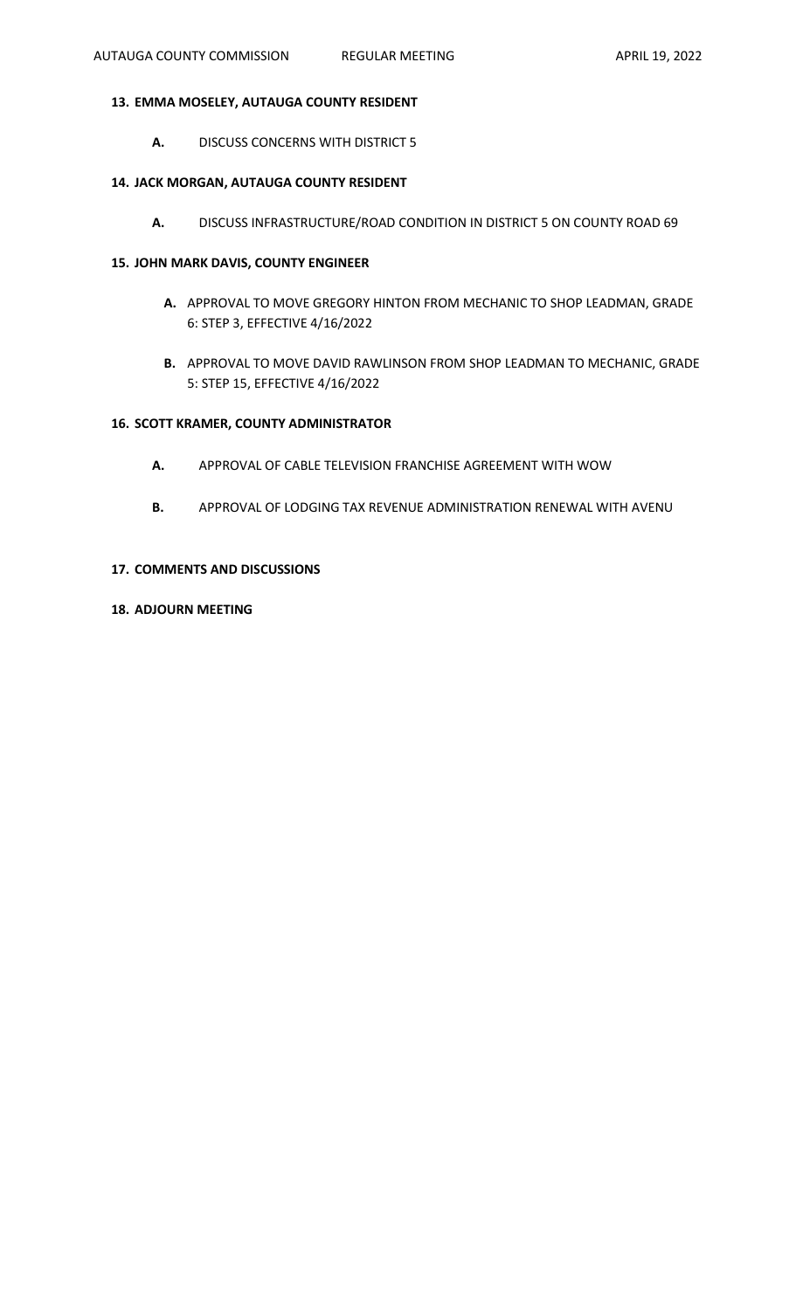# **13. EMMA MOSELEY, AUTAUGA COUNTY RESIDENT**

**A.** DISCUSS CONCERNS WITH DISTRICT 5

## **14. JACK MORGAN, AUTAUGA COUNTY RESIDENT**

**A.** DISCUSS INFRASTRUCTURE/ROAD CONDITION IN DISTRICT 5 ON COUNTY ROAD 69

## **15. JOHN MARK DAVIS, COUNTY ENGINEER**

- **A.** APPROVAL TO MOVE GREGORY HINTON FROM MECHANIC TO SHOP LEADMAN, GRADE 6: STEP 3, EFFECTIVE 4/16/2022
- **B.** APPROVAL TO MOVE DAVID RAWLINSON FROM SHOP LEADMAN TO MECHANIC, GRADE 5: STEP 15, EFFECTIVE 4/16/2022

# **16. SCOTT KRAMER, COUNTY ADMINISTRATOR**

- **A.** APPROVAL OF CABLE TELEVISION FRANCHISE AGREEMENT WITH WOW
- **B.** APPROVAL OF LODGING TAX REVENUE ADMINISTRATION RENEWAL WITH AVENU

# **17. COMMENTS AND DISCUSSIONS**

# **18. ADJOURN MEETING**